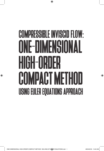# **COMPRESSIBLE INVISCID FLOW: ONE-DIMENSIONAL** HIGH-ORDER COMPACT METHOD **USING EULER EQUATIONS APPROACH**

⊕

⊕

♠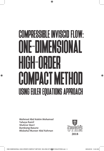# COMPRESSIBLE INVISCID FLOW: ONE-DIMENSIONAL COMPACT METHOD USING EULER EQUATIONS APPROACH

⊕

Mahmod Abd Hakim Mohamad Yahaya Ramli **Shahnor Basri Bambang Basuno** Misbahul Muneer Abd Rahman

⊕



♠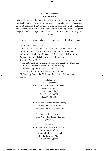#### © Penerbit UTHM First Published 2018

⊕

Copyright reserved. Reproduction of any articles, illustrations and content of this book in any form be it electronic, mechanical photocopy, recording or any other form without any prior written permission from The Publisher's Office of Universiti Tun Hussein Onn Malaysia, Parit Raja, Batu Pahat, Johor is prohibited. Any negotiations are subjected to calculations of royalty and honorarium.

Perpustakaan Negara Malaysia Cataloguing—in—Publication Data

Mahmod Abd. Hakim Mohamad

⊕

COMPRESSIBLE INVISCID FLOW: ONE-DIMENSIONAL HIGH-ORDER COMPACT METHOD USING EULER EQUATIONS APPROACH/ Mahmod Abd Hakim, Yahaya Ramli, Shahnor Basri, Bambang Basuno, Misbahul Muneer Abd Rahman. ISBN 978-967-2183-17-4 1. Computational fluid dynamics. 2. Lagrange equations--Numerical solutions. 3. Differential equation--Data processing. 4. Government publications--Malaysia. I. Yahya Ramli, Prof. Ir. II. Shahnor Basri, Prof. Dr. Ir. III. Bambang Basuno. IV. Misbahul Muneer Abd. Rahman. Judul. 620.1064

> Published by: Penerbit UTHM Universiti Tun Hussein Onn Malaysia 86400 Parit Raja, Batu Pahat, Johor Tel: 07-453 8698/8529 Fax: 07-453 6145

> Website: http://penerbit.uthm.edu.my E-mail: pt@uthm.edu.my http://e-bookstore.uthm.edu.my

Penerbit UTHM is a member of Majlis Penerbitan Ilmiah Malaysia (MAPIM)

Printed by: PERCETAKAN IMPIAN SDN. BHD. No. 10, Jalan Bukit 8, Kawasan Perindustrian Miel, Bandar Baru Seri Alam, 81750 Masai, Johor

↔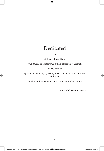## Dedicated

 $\bigoplus$ 

to

My beloved wife Hafsa,

Our daughters Sumaiyah, Najihah, Huzaifah & Usamah

All My Parents,

Hj. Mohamad and Hjh. Jawahil, Ir. Hj. Mohamed Makki and Hjh. Siti Rohani

For all their love, support, motivation and understanding

Mahmod Abd. Hakim Mohamad

⊕

⊕